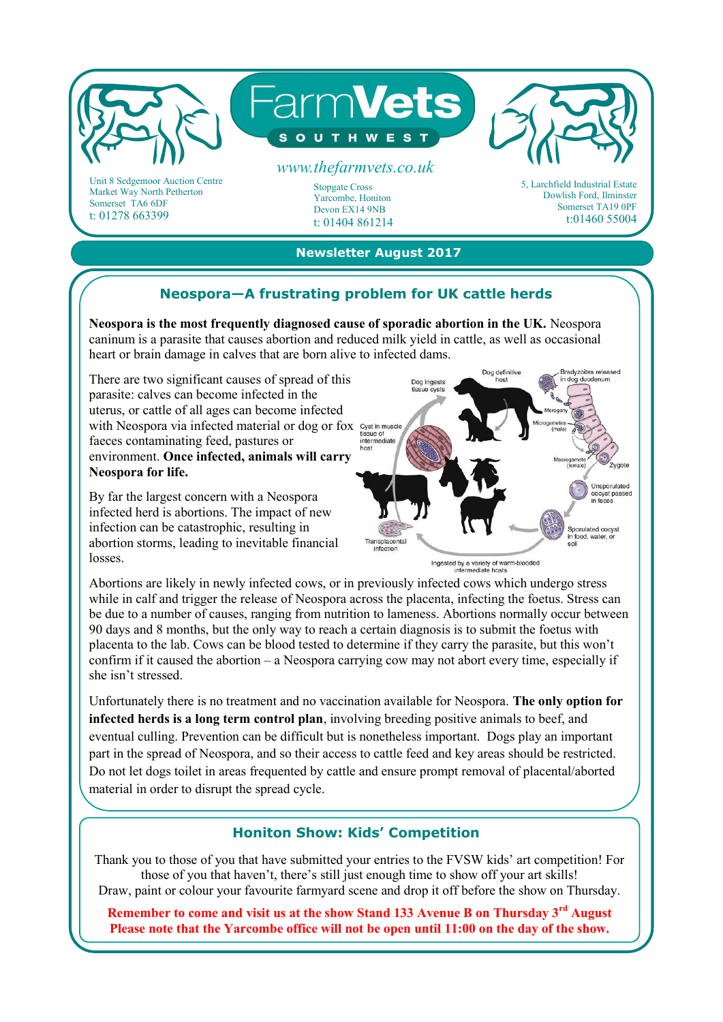

Market Way North Petherton Somerset TA6 6DF t: 01278 663399

Stopgate Cross Yarcombe, Honiton Devon EX14 9NB t: 01404 861214 Dowlish Ford, Ilminster Somerset TA19 0PF t:01460 55004

## **Newsletter August 2017**

# **Neospora—A frustrating problem for UK cattle herds**

**Neospora is the most frequently diagnosed cause of sporadic abortion in the UK.** Neospora caninum is a parasite that causes abortion and reduced milk yield in cattle, as well as occasional heart or brain damage in calves that are born alive to infected dams.

There are two significant causes of spread of this parasite: calves can become infected in the uterus, or cattle of all ages can become infected with Neospora via infected material or dog or fox Cystin must faeces contaminating feed, pastures or environment. **Once infected, animals will carry Neospora for life.** 

By far the largest concern with a Neospora infected herd is abortions. The impact of new infection can be catastrophic, resulting in abortion storms, leading to inevitable financial losses.



Ingested by a variety of warm-blooded

Abortions are likely in newly infected cows, or in previously infected cows which undergo stress while in calf and trigger the release of Neospora across the placenta, infecting the foetus. Stress can be due to a number of causes, ranging from nutrition to lameness. Abortions normally occur between 90 days and 8 months, but the only way to reach a certain diagnosis is to submit the foetus with placenta to the lab. Cows can be blood tested to determine if they carry the parasite, but this won't confirm if it caused the abortion – a Neospora carrying cow may not abort every time, especially if she isn't stressed.

Unfortunately there is no treatment and no vaccination available for Neospora. **The only option for infected herds is a long term control plan**, involving breeding positive animals to beef, and eventual culling. Prevention can be difficult but is nonetheless important. Dogs play an important part in the spread of Neospora, and so their access to cattle feed and key areas should be restricted. Do not let dogs toilet in areas frequented by cattle and ensure prompt removal of placental/aborted material in order to disrupt the spread cycle.

### **Honiton Show: Kids' Competition**

Thank you to those of you that have submitted your entries to the FVSW kids' art competition! For those of you that haven't, there's still just enough time to show off your art skills! Draw, paint or colour your favourite farmyard scene and drop it off before the show on Thursday.

**Remember to come and visit us at the show Stand 133 Avenue B on Thursday 3rd August Please note that the Yarcombe office will not be open until 11:00 on the day of the show.**